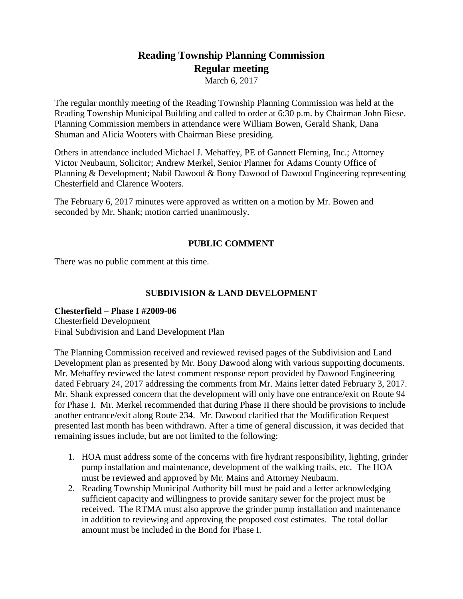# **Reading Township Planning Commission Regular meeting**

March 6, 2017

The regular monthly meeting of the Reading Township Planning Commission was held at the Reading Township Municipal Building and called to order at 6:30 p.m. by Chairman John Biese. Planning Commission members in attendance were William Bowen, Gerald Shank, Dana Shuman and Alicia Wooters with Chairman Biese presiding.

Others in attendance included Michael J. Mehaffey, PE of Gannett Fleming, Inc.; Attorney Victor Neubaum, Solicitor; Andrew Merkel, Senior Planner for Adams County Office of Planning & Development; Nabil Dawood & Bony Dawood of Dawood Engineering representing Chesterfield and Clarence Wooters.

The February 6, 2017 minutes were approved as written on a motion by Mr. Bowen and seconded by Mr. Shank; motion carried unanimously.

# **PUBLIC COMMENT**

There was no public comment at this time.

# **SUBDIVISION & LAND DEVELOPMENT**

## **Chesterfield – Phase I #2009-06** Chesterfield Development Final Subdivision and Land Development Plan

The Planning Commission received and reviewed revised pages of the Subdivision and Land Development plan as presented by Mr. Bony Dawood along with various supporting documents. Mr. Mehaffey reviewed the latest comment response report provided by Dawood Engineering dated February 24, 2017 addressing the comments from Mr. Mains letter dated February 3, 2017. Mr. Shank expressed concern that the development will only have one entrance/exit on Route 94 for Phase I. Mr. Merkel recommended that during Phase II there should be provisions to include another entrance/exit along Route 234. Mr. Dawood clarified that the Modification Request presented last month has been withdrawn. After a time of general discussion, it was decided that remaining issues include, but are not limited to the following:

- 1. HOA must address some of the concerns with fire hydrant responsibility, lighting, grinder pump installation and maintenance, development of the walking trails, etc. The HOA must be reviewed and approved by Mr. Mains and Attorney Neubaum.
- 2. Reading Township Municipal Authority bill must be paid and a letter acknowledging sufficient capacity and willingness to provide sanitary sewer for the project must be received. The RTMA must also approve the grinder pump installation and maintenance in addition to reviewing and approving the proposed cost estimates. The total dollar amount must be included in the Bond for Phase I.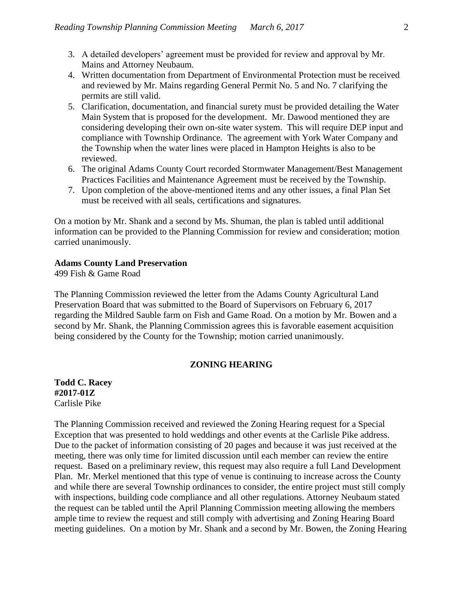- 3. A detailed developers' agreement must be provided for review and approval by Mr. Mains and Attorney Neubaum.
- 4. Written documentation from Department of Environmental Protection must be received and reviewed by Mr. Mains regarding General Permit No. 5 and No. 7 clarifying the permits are still valid.
- 5. Clarification, documentation, and financial surety must be provided detailing the Water Main System that is proposed for the development. Mr. Dawood mentioned they are considering developing their own on-site water system. This will require DEP input and compliance with Township Ordinance. The agreement with York Water Company and the Township when the water lines were placed in Hampton Heights is also to be reviewed.
- 6. The original Adams County Court recorded Stormwater Management/Best Management Practices Facilities and Maintenance Agreement must be received by the Township.
- 7. Upon completion of the above-mentioned items and any other issues, a final Plan Set must be received with all seals, certifications and signatures.

On a motion by Mr. Shank and a second by Ms. Shuman, the plan is tabled until additional information can be provided to the Planning Commission for review and consideration; motion carried unanimously.

## **Adams County Land Preservation**

499 Fish & Game Road

The Planning Commission reviewed the letter from the Adams County Agricultural Land Preservation Board that was submitted to the Board of Supervisors on February 6, 2017 regarding the Mildred Sauble farm on Fish and Game Road. On a motion by Mr. Bowen and a second by Mr. Shank, the Planning Commission agrees this is favorable easement acquisition being considered by the County for the Township; motion carried unanimously.

## **ZONING HEARING**

**Todd C. Racey #2017-01Z** Carlisle Pike

The Planning Commission received and reviewed the Zoning Hearing request for a Special Exception that was presented to hold weddings and other events at the Carlisle Pike address. Due to the packet of information consisting of 20 pages and because it was just received at the meeting, there was only time for limited discussion until each member can review the entire request. Based on a preliminary review, this request may also require a full Land Development Plan. Mr. Merkel mentioned that this type of venue is continuing to increase across the County and while there are several Township ordinances to consider, the entire project must still comply with inspections, building code compliance and all other regulations. Attorney Neubaum stated the request can be tabled until the April Planning Commission meeting allowing the members ample time to review the request and still comply with advertising and Zoning Hearing Board meeting guidelines. On a motion by Mr. Shank and a second by Mr. Bowen, the Zoning Hearing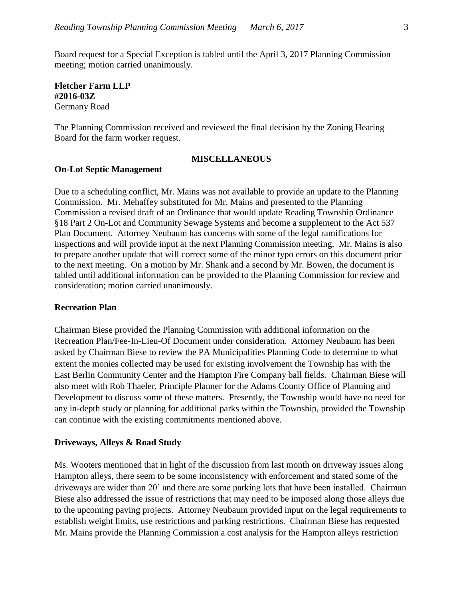Board request for a Special Exception is tabled until the April 3, 2017 Planning Commission meeting; motion carried unanimously.

**Fletcher Farm LLP #2016-03Z** Germany Road

The Planning Commission received and reviewed the final decision by the Zoning Hearing Board for the farm worker request.

### **MISCELLANEOUS**

#### **On-Lot Septic Management**

Due to a scheduling conflict, Mr. Mains was not available to provide an update to the Planning Commission. Mr. Mehaffey substituted for Mr. Mains and presented to the Planning Commission a revised draft of an Ordinance that would update Reading Township Ordinance §18 Part 2 On-Lot and Community Sewage Systems and become a supplement to the Act 537 Plan Document. Attorney Neubaum has concerns with some of the legal ramifications for inspections and will provide input at the next Planning Commission meeting. Mr. Mains is also to prepare another update that will correct some of the minor typo errors on this document prior to the next meeting. On a motion by Mr. Shank and a second by Mr. Bowen, the document is tabled until additional information can be provided to the Planning Commission for review and consideration; motion carried unanimously.

### **Recreation Plan**

Chairman Biese provided the Planning Commission with additional information on the Recreation Plan/Fee-In-Lieu-Of Document under consideration. Attorney Neubaum has been asked by Chairman Biese to review the PA Municipalities Planning Code to determine to what extent the monies collected may be used for existing involvement the Township has with the East Berlin Community Center and the Hampton Fire Company ball fields. Chairman Biese will also meet with Rob Thaeler, Principle Planner for the Adams County Office of Planning and Development to discuss some of these matters. Presently, the Township would have no need for any in-depth study or planning for additional parks within the Township, provided the Township can continue with the existing commitments mentioned above.

#### **Driveways, Alleys & Road Study**

Ms. Wooters mentioned that in light of the discussion from last month on driveway issues along Hampton alleys, there seem to be some inconsistency with enforcement and stated some of the driveways are wider than 20' and there are some parking lots that have been installed. Chairman Biese also addressed the issue of restrictions that may need to be imposed along those alleys due to the upcoming paving projects. Attorney Neubaum provided input on the legal requirements to establish weight limits, use restrictions and parking restrictions. Chairman Biese has requested Mr. Mains provide the Planning Commission a cost analysis for the Hampton alleys restriction